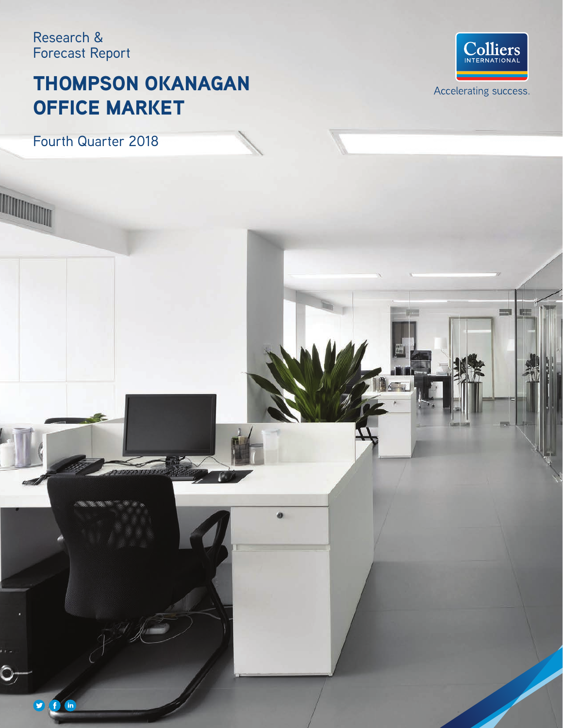## Research & Forecast Report

# THOMPSON OKANAGAN OFFICE MARKET

Fourth Quarter 2018

 $\n **9 6**\n$ 

Colliers

Accelerating success.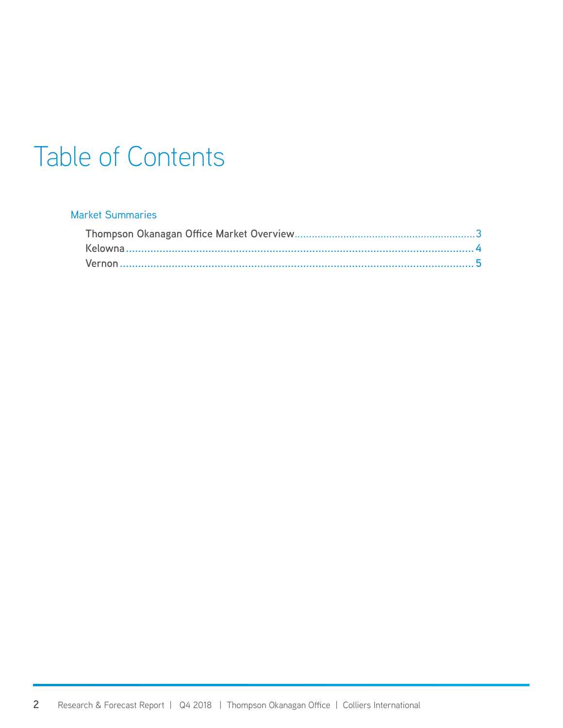# Table of Contents

### Market Summaries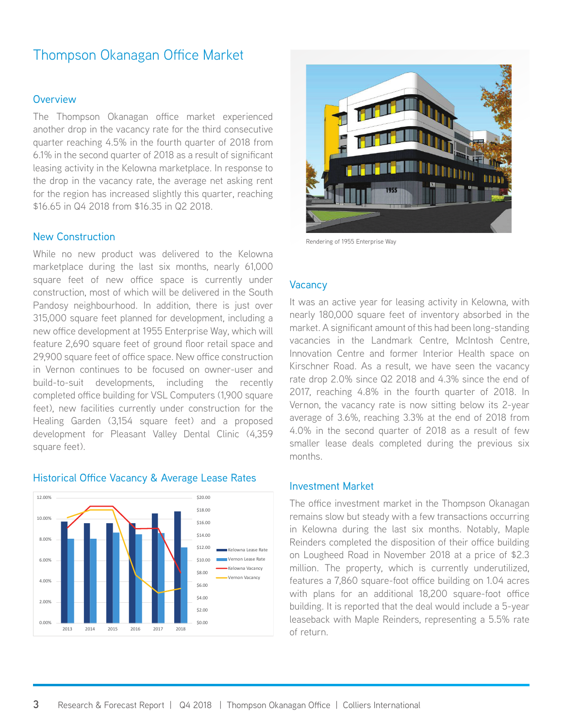## Thompson Okanagan Office Market

#### **Overview**

The Thompson Okanagan office market experienced another drop in the vacancy rate for the third consecutive quarter reaching 4.5% in the fourth quarter of 2018 from 6.1% in the second quarter of 2018 as a result of significant leasing activity in the Kelowna marketplace. In response to the drop in the vacancy rate, the average net asking rent for the region has increased slightly this quarter, reaching \$16.65 in Q4 2018 from \$16.35 in Q2 2018.

#### New Construction

While no new product was delivered to the Kelowna marketplace during the last six months, nearly 61,000 square feet of new office space is currently under construction, most of which will be delivered in the South Pandosy neighbourhood. In addition, there is just over 315,000 square feet planned for development, including a new office development at 1955 Enterprise Way, which will feature 2,690 square feet of ground floor retail space and 29,900 square feet of office space. New office construction in Vernon continues to be focused on owner-user and build-to-suit developments, including the recently completed office building for VSL Computers (1,900 square feet), new facilities currently under construction for the Healing Garden (3,154 square feet) and a proposed development for Pleasant Valley Dental Clinic (4,359 square feet).



#### Historical Office Vacancy & Average Lease Rates



Rendering of 1955 Enterprise Way

#### **Vacancy**

It was an active year for leasing activity in Kelowna, with nearly 180,000 square feet of inventory absorbed in the market. A significant amount of this had been long-standing vacancies in the Landmark Centre, McIntosh Centre, Innovation Centre and former Interior Health space on Kirschner Road. As a result, we have seen the vacancy rate drop 2.0% since Q2 2018 and 4.3% since the end of 2017, reaching 4.8% in the fourth quarter of 2018. In Vernon, the vacancy rate is now sitting below its 2-year average of 3.6%, reaching 3.3% at the end of 2018 from 4.0% in the second quarter of 2018 as a result of few smaller lease deals completed during the previous six months.

#### Investment Market

The office investment market in the Thompson Okanagan remains slow but steady with a few transactions occurring in Kelowna during the last six months. Notably, Maple Reinders completed the disposition of their office building on Lougheed Road in November 2018 at a price of \$2.3 million. The property, which is currently underutilized, features a 7,860 square-foot office building on 1.04 acres with plans for an additional 18,200 square-foot office building. It is reported that the deal would include a 5-year leaseback with Maple Reinders, representing a 5.5% rate of return.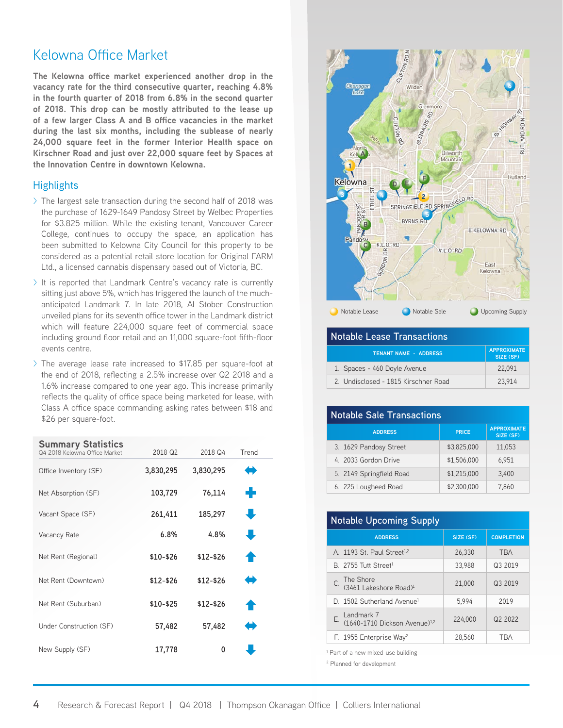## Kelowna Office Market

**The Kelowna office market experienced another drop in the vacancy rate for the third consecutive quarter, reaching 4.8% in the fourth quarter of 2018 from 6.8% in the second quarter of 2018. This drop can be mostly attributed to the lease up of a few larger Class A and B office vacancies in the market during the last six months, including the sublease of nearly 24,000 square feet in the former Interior Health space on Kirschner Road and just over 22,000 square feet by Spaces at the Innovation Centre in downtown Kelowna.**

#### **Highlights**

- > The largest sale transaction during the second half of 2018 was the purchase of 1629-1649 Pandosy Street by Welbec Properties for \$3.825 million. While the existing tenant, Vancouver Career College, continues to occupy the space, an application has been submitted to Kelowna City Council for this property to be considered as a potential retail store location for Original FARM Ltd., a licensed cannabis dispensary based out of Victoria, BC.
- > It is reported that Landmark Centre's vacancy rate is currently sitting just above 5%, which has triggered the launch of the muchanticipated Landmark 7. In late 2018, Al Stober Construction unveiled plans for its seventh office tower in the Landmark district which will feature 224,000 square feet of commercial space including ground floor retail and an 11,000 square-foot fifth-floor events centre.
- > The average lease rate increased to \$17.85 per square-foot at the end of 2018, reflecting a 2.5% increase over Q2 2018 and a 1.6% increase compared to one year ago. This increase primarily reflects the quality of office space being marketed for lease, with Class A office space commanding asking rates between \$18 and \$26 per square-foot.

| <b>Summary Statistics</b><br>04 2018 Kelowna Office Market | 2018 Q2     | 2018 Q4     | Trend     |
|------------------------------------------------------------|-------------|-------------|-----------|
| Office Inventory (SF)                                      | 3,830,295   | 3,830,295   | H         |
| Net Absorption (SF)                                        | 103,729     | 76,114      | ÷         |
| Vacant Space (SF)                                          | 261,411     | 185,297     | $\bullet$ |
| Vacancy Rate                                               | 6.8%        | 4.8%        | J         |
| Net Rent (Regional)                                        | $$10-$26$   | $$12-$26$   | $\bullet$ |
| Net Rent (Downtown)                                        | $$12 - $26$ | $$12 - $26$ | ۸         |
| Net Rent (Suburban)                                        | $$10-$25$   | $$12 - $26$ |           |
| Under Construction (SE)                                    | 57,482      | 57,482      | í٣        |
| New Supply (SF)                                            | 17,778      | 0           |           |



| l Notable Lease Transactions         |                                 |
|--------------------------------------|---------------------------------|
| <b>TENANT NAME - ADDRESS</b>         | <b>APPROXIMATE</b><br>SIZE (SF) |
| 1. Spaces - 460 Doyle Avenue         | 22.091                          |
| 2. Undisclosed - 1815 Kirschner Road | 23.914                          |

#### **Notable Sale Transactions**

| <b>ADDRESS</b>           | <b>PRICE</b> | <b>APPROXIMATE</b><br>SIZE (SF) |
|--------------------------|--------------|---------------------------------|
| 3. 1629 Pandosy Street   | \$3,825,000  | 11,053                          |
| 4. 2033 Gordon Drive     | \$1,506,000  | 6.951                           |
| 5. 2149 Springfield Road | \$1,215,000  | 3,400                           |
| 6. 225 Lougheed Road     | \$2,300,000  | 7,860                           |

#### **Notable Upcoming Supply**

| <b>ADDRESS</b>                                                | SIZE (SF) | <b>COMPLETION</b> |
|---------------------------------------------------------------|-----------|-------------------|
| A. 1193 St. Paul Street <sup>1,2</sup>                        | 26,330    | <b>TBA</b>        |
| B. 2755 Tutt Street <sup>1</sup>                              | 33,988    | Q3 2019           |
| C. The Shore<br>C. (3461 Lakeshore Road) <sup>1</sup>         | 21,000    | Q3 2019           |
| D. 1502 Sutherland Avenue <sup>1</sup>                        | 5.994     | 2019              |
| E. Landmark 7<br>E. (1640-1710 Dickson Avenue) <sup>1,2</sup> | 224,000   | Q2 2022           |
| F. 1955 Enterprise Way <sup>2</sup>                           | 28,560    | TRA               |

<sup>1</sup> Part of a new mixed-use building

2 Planned for development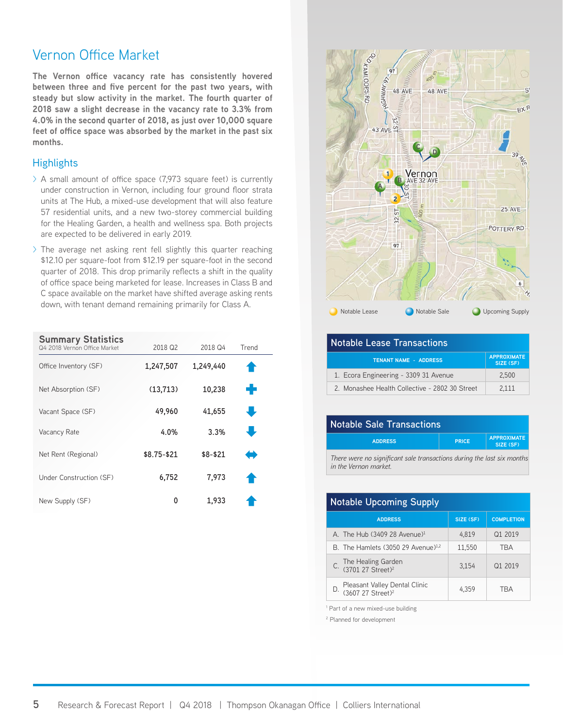## Vernon Office Market

**The Vernon office vacancy rate has consistently hovered between three and five percent for the past two years, with steady but slow activity in the market. The fourth quarter of 2018 saw a slight decrease in the vacancy rate to 3.3% from 4.0% in the second quarter of 2018, as just over 10,000 square feet of office space was absorbed by the market in the past six months.**

#### **Highlights**

- > A small amount of office space (7,973 square feet) is currently under construction in Vernon, including four ground floor strata units at The Hub, a mixed-use development that will also feature 57 residential units, and a new two-storey commercial building for the Healing Garden, a health and wellness spa. Both projects are expected to be delivered in early 2019.
- > The average net asking rent fell slightly this quarter reaching \$12.10 per square-foot from \$12.19 per square-foot in the second quarter of 2018. This drop primarily reflects a shift in the quality of office space being marketed for lease. Increases in Class B and C space available on the market have shifted average asking rents

| <b>Summary Statistics</b><br>Q4 2018 Vernon Office Market | 2018 Q <sub>2</sub> | 2018 Q4    | Trend |
|-----------------------------------------------------------|---------------------|------------|-------|
| Office Inventory (SF)                                     | 1,247,507           | 1,249,440  |       |
| Net Absorption (SF)                                       | (13, 713)           | 10,238     | ٠     |
| Vacant Space (SF)                                         | 49,960              | 41,655     |       |
| Vacancy Rate                                              | 4.0%                | 3.3%       |       |
| Net Rent (Regional)                                       | \$8.75-\$21         | $$8 - $21$ | H)    |
| Under Construction (SF)                                   | 6,752               | 7.973      |       |
| New Supply (SF)                                           | ŋ                   | 1,933      |       |



| <b>Notable Lease Transactions</b>              |                                 |  |
|------------------------------------------------|---------------------------------|--|
| <b>TENANT NAME - ADDRESS</b>                   | <b>APPROXIMATE</b><br>SIZE (SF) |  |
| 1. Ecora Engineering - 3309 31 Avenue          | 2.500                           |  |
| 2. Monashee Health Collective - 2802 30 Street | 2.111                           |  |

| <b>Notable Sale Transactions</b>                                       |              |                                 |
|------------------------------------------------------------------------|--------------|---------------------------------|
| <b>ADDRESS</b>                                                         | <b>PRICE</b> | <b>APPROXIMATE</b><br>SIZE (SF) |
| There were no significant sale transactions during the last six months |              |                                 |

*There were no significant sale transactions during the last six months in the Vernon market.*

#### **Notable Upcoming Supply**

| <b>ADDRESS</b>                                                       | SIZE (SF) | <b>COMPLETION</b> |
|----------------------------------------------------------------------|-----------|-------------------|
| A. The Hub $(3409 28$ Avenue) <sup>1</sup>                           | 4.819     | Q1 2019           |
| B. The Hamlets $(3050 29$ Avenue) <sup>1,2</sup>                     | 11.550    | TBA               |
| C. The Healing Garden<br>C. (3701 27 Street) <sup>2</sup>            | 3.154     | Q1 2019           |
| D. Pleasant Valley Dental Clinic<br>0. (3607 27 Street) <sup>2</sup> | 4.359     | TRA               |

<sup>1</sup> Part of a new mixed-use building

2 Planned for development